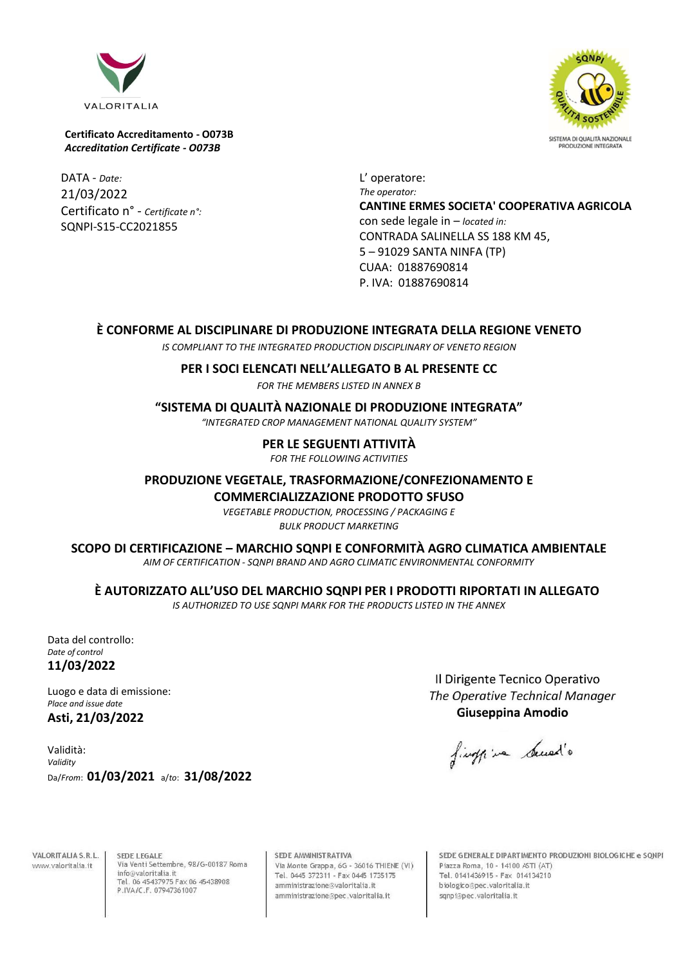

DATA - *Date:* 21/03/2022 Certificato n° - *Certificate n°:* SQNPI-S15-CC2021855

L' operatore: *The operator:* **CANTINE ERMES SOCIETA' COOPERATIVA AGRICOLA** con sede legale in – *located in:* CONTRADA SALINELLA SS 188 KM 45, 5 – 91029 SANTA NINFA (TP) CUAA: 01887690814 P. IVA: 01887690814

## **È CONFORME AL DISCIPLINARE DI PRODUZIONE INTEGRATA DELLA REGIONE VENETO**

*IS COMPLIANT TO THE INTEGRATED PRODUCTION DISCIPLINARY OF VENETO REGION*

## **PER I SOCI ELENCATI NELL'ALLEGATO B AL PRESENTE CC**

*FOR THE MEMBERS LISTED IN ANNEX B*

## **"SISTEMA DI QUALITÀ NAZIONALE DI PRODUZIONE INTEGRATA"**

*"INTEGRATED CROP MANAGEMENT NATIONAL QUALITY SYSTEM"*

**PER LE SEGUENTI ATTIVITÀ**

*FOR THE FOLLOWING ACTIVITIES*

**PRODUZIONE VEGETALE, TRASFORMAZIONE/CONFEZIONAMENTO E**

**COMMERCIALIZZAZIONE PRODOTTO SFUSO**

*VEGETABLE PRODUCTION, PROCESSING / PACKAGING E BULK PRODUCT MARKETING*

### **SCOPO DI CERTIFICAZIONE – MARCHIO SQNPI E CONFORMITÀ AGRO CLIMATICA AMBIENTALE**

*AIM OF CERTIFICATION - SQNPI BRAND AND AGRO CLIMATIC ENVIRONMENTAL CONFORMITY*

**È AUTORIZZATO ALL'USO DEL MARCHIO SQNPI PER I PRODOTTI RIPORTATI IN ALLEGATO**

*IS AUTHORIZED TO USE SQNPI MARK FOR THE PRODUCTS LISTED IN THE ANNEX*

Data del controllo: *Date of control* **11/03/2022**

Luogo e data di emissione: *Place and issue date* **Asti, 21/03/2022**

Validità: *Validity* Da/*From*: **01/03/2021** a/*to*: **31/08/2022**

Il Dirigente Tecnico Operativo The Operative Technical Manager Giuseppina Amodio

finalline Sened's

**VALORITALIA S.R.L.** www.valoritalia.it

SEDE LEGALE Via Venti Settembre, 98/G-00187 Roma info@valoritalia.it Tel. 06 45437975 Fax 06 45438908<br>P.IVA/C.F. 07947361007

SEDE AMMINISTRATIVA Via Monte Grappa, 6G - 36016 THIENE (VI) Tel. 0445 372311 - Fax 0445 1735175 amministrazione@valoritalia.it amministrazione@pec.valoritalia.it

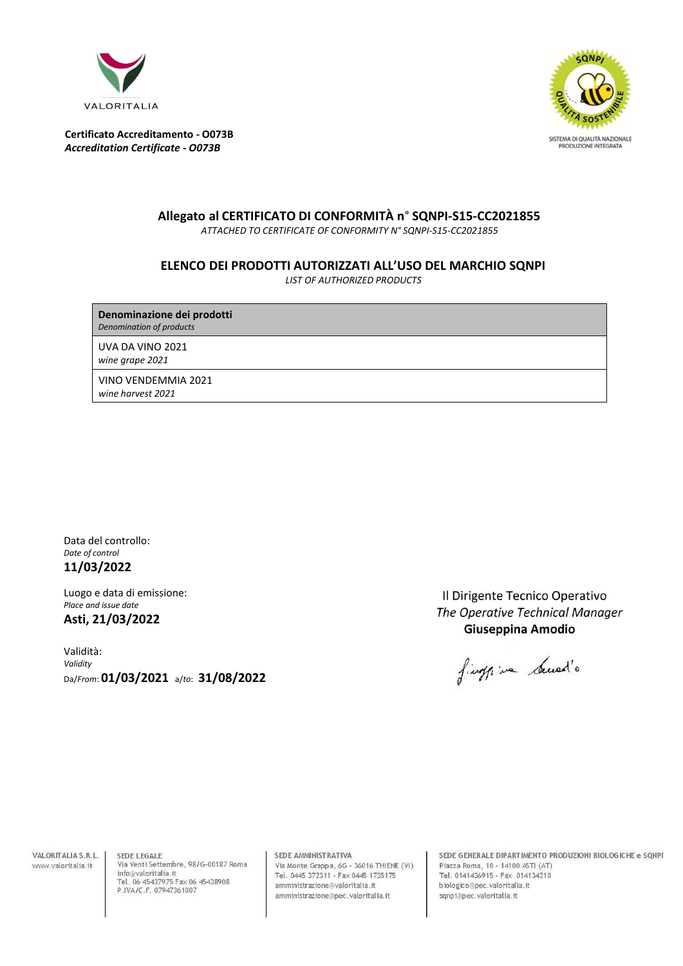



# **Allegato al CERTIFICATO DI CONFORMITÀ n**° **SQNPI-S15-CC2021855**

*ATTACHED TO CERTIFICATE OF CONFORMITY N° SQNPI-S15-CC2021855*

## **ELENCO DEI PRODOTTI AUTORIZZATI ALL'USO DEL MARCHIO SQNPI**

*LIST OF AUTHORIZED PRODUCTS*

**Denominazione dei prodotti** *Denomination of products*

UVA DA VINO 2021 *wine grape 2021*

VINO VENDEMMIA 2021 *wine harvest 2021*

Data del controllo: *Date of control* **11/03/2022**

Luogo e data di emissione: *Place and issue date* **Asti, 21/03/2022**

Validità: *Validity* Da/*From*: **01/03/2021** a/*to*: **31/08/2022**

Il Dirigente Tecnico Operativo The Operative Technical Manager Giuseppina Amodio

final in build's

VALORITALIA S.R.L. www.valoritalia.it

SEDE LEGALE Via Venti Settembre, 98/G-00187 Roma info@valoritalia.it Tel. 06 45437975 Fax 06 45438908<br>P.IVA/C.F. 07947361007

SEDE AMMINISTRATIVA Via Monte Grappa, 6G - 36016 THIENE (VI) Tel. 0445 372311 - Fax 0445 1735175 amministrazione@valoritalia.it amministrazione@pec.valoritalia.it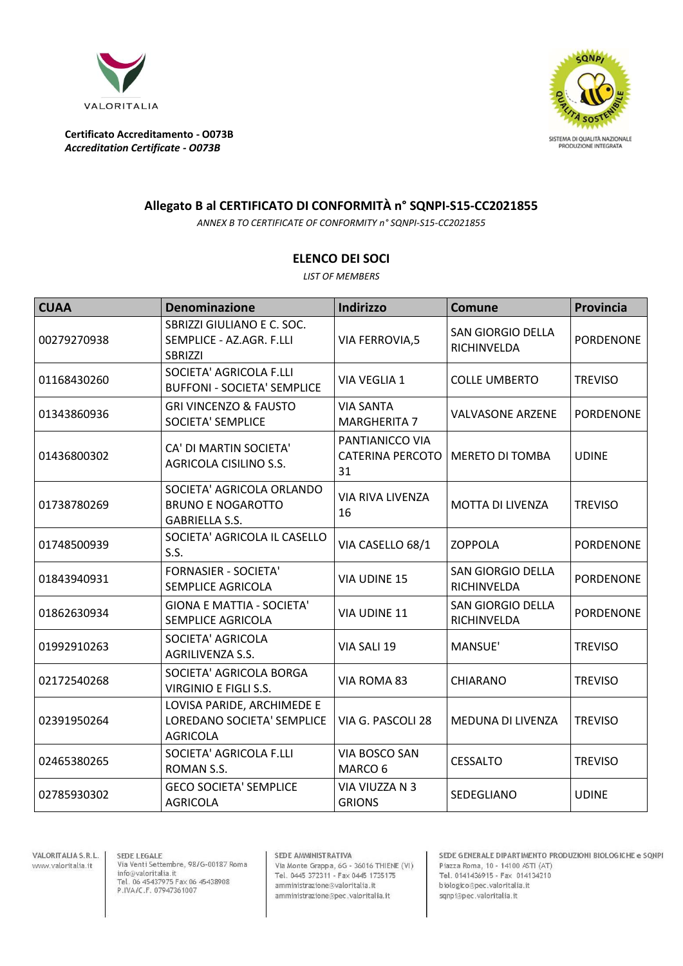



## **Allegato B al CERTIFICATO DI CONFORMITÀ n° SQNPI-S15-CC2021855**

*ANNEX B TO CERTIFICATE OF CONFORMITY n° SQNPI-S15-CC2021855*

## **ELENCO DEI SOCI**

*LIST OF MEMBERS*

| <b>CUAA</b> | <b>Denominazione</b>                                                           | Indirizzo                                        | <b>Comune</b>                           | <b>Provincia</b> |
|-------------|--------------------------------------------------------------------------------|--------------------------------------------------|-----------------------------------------|------------------|
| 00279270938 | SBRIZZI GIULIANO E C. SOC.<br>SEMPLICE - AZ.AGR. F.LLI<br><b>SBRIZZI</b>       | <b>VIA FERROVIA,5</b>                            | <b>SAN GIORGIO DELLA</b><br>RICHINVELDA | PORDENONE        |
| 01168430260 | SOCIETA' AGRICOLA F.LLI<br><b>BUFFONI - SOCIETA' SEMPLICE</b>                  | VIA VEGLIA 1                                     | <b>COLLE UMBERTO</b>                    | <b>TREVISO</b>   |
| 01343860936 | <b>GRI VINCENZO &amp; FAUSTO</b><br><b>SOCIETA' SEMPLICE</b>                   | <b>VIA SANTA</b><br><b>MARGHERITA 7</b>          | <b>VALVASONE ARZENE</b>                 | <b>PORDENONE</b> |
| 01436800302 | CA' DI MARTIN SOCIETA'<br>AGRICOLA CISILINO S.S.                               | PANTIANICCO VIA<br><b>CATERINA PERCOTO</b><br>31 | <b>MERETO DI TOMBA</b>                  | <b>UDINE</b>     |
| 01738780269 | SOCIETA' AGRICOLA ORLANDO<br><b>BRUNO E NOGAROTTO</b><br><b>GABRIELLA S.S.</b> | VIA RIVA LIVENZA<br>16                           | MOTTA DI LIVENZA                        | <b>TREVISO</b>   |
| 01748500939 | SOCIETA' AGRICOLA IL CASELLO<br>S.S.                                           | VIA CASELLO 68/1                                 | <b>ZOPPOLA</b>                          | <b>PORDENONE</b> |
| 01843940931 | <b>FORNASIER - SOCIETA'</b><br>SEMPLICE AGRICOLA                               | VIA UDINE 15                                     | <b>SAN GIORGIO DELLA</b><br>RICHINVELDA | <b>PORDENONE</b> |
| 01862630934 | <b>GIONA E MATTIA - SOCIETA'</b><br>SEMPLICE AGRICOLA                          | VIA UDINE 11                                     | <b>SAN GIORGIO DELLA</b><br>RICHINVELDA | <b>PORDENONE</b> |
| 01992910263 | SOCIETA' AGRICOLA<br>AGRILIVENZA S.S.                                          | VIA SALI 19                                      | MANSUE'                                 | <b>TREVISO</b>   |
| 02172540268 | SOCIETA' AGRICOLA BORGA<br>VIRGINIO E FIGLI S.S.                               | VIA ROMA 83                                      | CHIARANO                                | <b>TREVISO</b>   |
| 02391950264 | LOVISA PARIDE, ARCHIMEDE E<br>LOREDANO SOCIETA' SEMPLICE<br><b>AGRICOLA</b>    | VIA G. PASCOLI 28                                | MEDUNA DI LIVENZA                       | <b>TREVISO</b>   |
| 02465380265 | SOCIETA' AGRICOLA F.LLI<br>ROMAN S.S.                                          | VIA BOSCO SAN<br>MARCO 6                         | <b>CESSALTO</b>                         | <b>TREVISO</b>   |
| 02785930302 | <b>GECO SOCIETA' SEMPLICE</b><br><b>AGRICOLA</b>                               | VIA VIUZZA N 3<br><b>GRIONS</b>                  | SEDEGLIANO                              | <b>UDINE</b>     |

VALORITALIA S.R.L. www.valoritalia.it

 ${\sf SEDE}$  LEGALE Via Venti Settembre, 98/G-00187 Roma info@valoritalia.it<br>Tel. 06 45437975 Fax 06 45438908<br>P.IVA/C.F. 07947361007

SEDE AMMINISTRATIVA

Via Monte Grappa, 6G - 36016 THIENE (VI)<br>Tel. 0445 372311 - Fax 0445 1735175 amministrazione@valoritalia.it amministrazione@pec.valoritalia.it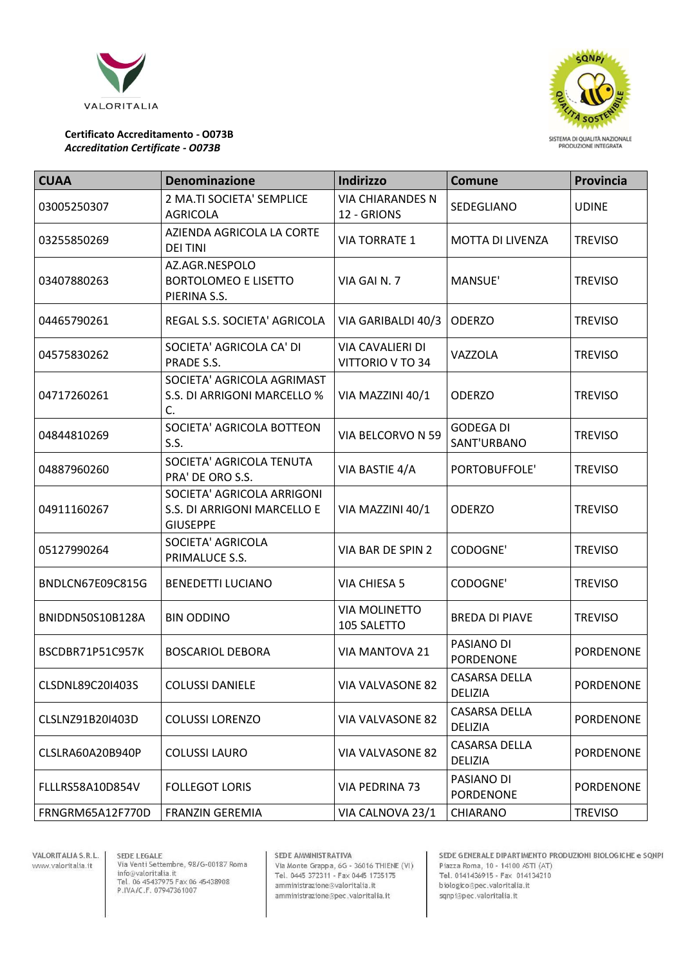



| <b>CUAA</b>      | <b>Denominazione</b>                                                         | Indirizzo                              | <b>Comune</b>                          | Provincia        |
|------------------|------------------------------------------------------------------------------|----------------------------------------|----------------------------------------|------------------|
| 03005250307      | 2 MA.TI SOCIETA' SEMPLICE<br><b>AGRICOLA</b>                                 | <b>VIA CHIARANDES N</b><br>12 - GRIONS | SEDEGLIANO                             | <b>UDINE</b>     |
| 03255850269      | AZIENDA AGRICOLA LA CORTE<br><b>DEI TINI</b>                                 | <b>VIA TORRATE 1</b>                   | <b>MOTTA DI LIVENZA</b>                | <b>TREVISO</b>   |
| 03407880263      | AZ.AGR.NESPOLO<br><b>BORTOLOMEO E LISETTO</b><br>PIERINA S.S.                | VIA GAI N.7                            | MANSUE'                                | <b>TREVISO</b>   |
| 04465790261      | REGAL S.S. SOCIETA' AGRICOLA                                                 | VIA GARIBALDI 40/3                     | <b>ODERZO</b>                          | <b>TREVISO</b>   |
| 04575830262      | SOCIETA' AGRICOLA CA' DI<br>PRADE S.S.                                       | VIA CAVALIERI DI<br>VITTORIO V TO 34   | VAZZOLA                                | <b>TREVISO</b>   |
| 04717260261      | SOCIETA' AGRICOLA AGRIMAST<br>S.S. DI ARRIGONI MARCELLO %<br>C.              | VIA MAZZINI 40/1                       | <b>ODERZO</b>                          | <b>TREVISO</b>   |
| 04844810269      | SOCIETA' AGRICOLA BOTTEON<br>S.S.                                            | VIA BELCORVO N 59                      | <b>GODEGA DI</b><br>SANT'URBANO        | <b>TREVISO</b>   |
| 04887960260      | SOCIETA' AGRICOLA TENUTA<br>PRA' DE ORO S.S.                                 | VIA BASTIE 4/A                         | PORTOBUFFOLE'                          | <b>TREVISO</b>   |
| 04911160267      | SOCIETA' AGRICOLA ARRIGONI<br>S.S. DI ARRIGONI MARCELLO E<br><b>GIUSEPPE</b> | VIA MAZZINI 40/1                       | <b>ODERZO</b>                          | <b>TREVISO</b>   |
| 05127990264      | SOCIETA' AGRICOLA<br>PRIMALUCE S.S.                                          | VIA BAR DE SPIN 2                      | CODOGNE'                               | <b>TREVISO</b>   |
| BNDLCN67E09C815G | <b>BENEDETTI LUCIANO</b>                                                     | VIA CHIESA 5                           | CODOGNE'                               | <b>TREVISO</b>   |
| BNIDDN50S10B128A | <b>BIN ODDINO</b>                                                            | <b>VIA MOLINETTO</b><br>105 SALETTO    | <b>BREDA DI PIAVE</b>                  | <b>TREVISO</b>   |
| BSCDBR71P51C957K | <b>BOSCARIOL DEBORA</b>                                                      | VIA MANTOVA 21                         | PASIANO DI<br>PORDENONE                | <b>PORDENONE</b> |
| CLSDNL89C20I403S | <b>COLUSSI DANIELE</b>                                                       | VIA VALVASONE 82                       | <b>CASARSA DELLA</b><br><b>DELIZIA</b> | PORDENONE        |
| CLSLNZ91B20I403D | <b>COLUSSI LORENZO</b>                                                       | VIA VALVASONE 82                       | <b>CASARSA DELLA</b><br><b>DELIZIA</b> | PORDENONE        |
| CLSLRA60A20B940P | <b>COLUSSI LAURO</b>                                                         | <b>VIA VALVASONE 82</b>                | <b>CASARSA DELLA</b><br><b>DELIZIA</b> | <b>PORDENONE</b> |
| FLLLRS58A10D854V | <b>FOLLEGOT LORIS</b>                                                        | VIA PEDRINA 73                         | PASIANO DI<br><b>PORDENONE</b>         | <b>PORDENONE</b> |
| FRNGRM65A12F770D | <b>FRANZIN GEREMIA</b>                                                       | VIA CALNOVA 23/1                       | CHIARANO                               | <b>TREVISO</b>   |

VALORITALIA S.R.L. www.valoritalia.it

SEDE LEGALE<br>Via Venti Settembre, 98/G-00187 Roma<br>info@valoritalia.it<br>Tel. 06 45437975 Fax 06 45438908<br>P.IVA/C.F. 07947361007

#### SEDE AMMINISTRATIVA

Via Monte Grappa, 6G - 36016 THIENE (VI)<br>Tel. 0445 372311 - Fax 0445 1735175 amministrazione@valoritalia.it amministrazione@pec.valoritalia.it